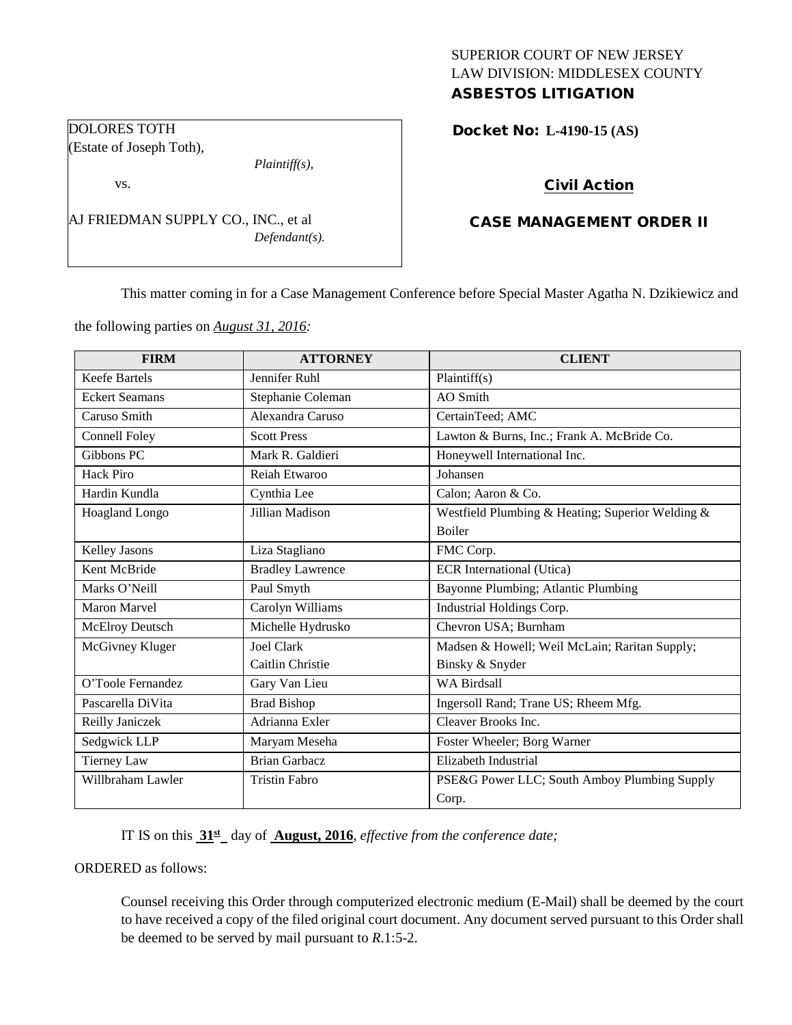## SUPERIOR COURT OF NEW JERSEY LAW DIVISION: MIDDLESEX COUNTY ASBESTOS LITIGATION

Docket No: **L-4190-15 (AS)** 

# Civil Action

# CASE MANAGEMENT ORDER II

This matter coming in for a Case Management Conference before Special Master Agatha N. Dzikiewicz and

the following parties on *August 31, 2016:*

AJ FRIEDMAN SUPPLY CO., INC., et al

*Plaintiff(s),*

*Defendant(s).*

DOLORES TOTH (Estate of Joseph Toth),

vs.

| <b>FIRM</b>           | <b>ATTORNEY</b>         | <b>CLIENT</b>                                    |
|-----------------------|-------------------------|--------------------------------------------------|
| <b>Keefe Bartels</b>  | Jennifer Ruhl           | Plaintiff(s)                                     |
| <b>Eckert Seamans</b> | Stephanie Coleman       | <b>AO</b> Smith                                  |
| Caruso Smith          | Alexandra Caruso        | CertainTeed; AMC                                 |
| Connell Foley         | <b>Scott Press</b>      | Lawton & Burns, Inc.; Frank A. McBride Co.       |
| Gibbons PC            | Mark R. Galdieri        | Honeywell International Inc.                     |
| <b>Hack Piro</b>      | Reiah Etwaroo           | Johansen                                         |
| Hardin Kundla         | Cynthia Lee             | Calon; Aaron & Co.                               |
| Hoagland Longo        | Jillian Madison         | Westfield Plumbing & Heating; Superior Welding & |
|                       |                         | <b>Boiler</b>                                    |
| Kelley Jasons         | Liza Stagliano          | FMC Corp.                                        |
| Kent McBride          | <b>Bradley Lawrence</b> | <b>ECR</b> International (Utica)                 |
| Marks O'Neill         | Paul Smyth              | Bayonne Plumbing; Atlantic Plumbing              |
| <b>Maron Marvel</b>   | Carolyn Williams        | Industrial Holdings Corp.                        |
| McElroy Deutsch       | Michelle Hydrusko       | Chevron USA; Burnham                             |
| McGivney Kluger       | <b>Joel Clark</b>       | Madsen & Howell; Weil McLain; Raritan Supply;    |
|                       | Caitlin Christie        | Binsky & Snyder                                  |
| O'Toole Fernandez     | Gary Van Lieu           | <b>WA Birdsall</b>                               |
| Pascarella DiVita     | <b>Brad Bishop</b>      | Ingersoll Rand; Trane US; Rheem Mfg.             |
| Reilly Janiczek       | Adrianna Exler          | Cleaver Brooks Inc.                              |
| Sedgwick LLP          | Maryam Meseha           | Foster Wheeler; Borg Warner                      |
| <b>Tierney Law</b>    | <b>Brian Garbacz</b>    | Elizabeth Industrial                             |
| Willbraham Lawler     | <b>Tristin Fabro</b>    | PSE&G Power LLC; South Amboy Plumbing Supply     |
|                       |                         | Corp.                                            |

IT IS on this  $31<sup>st</sup>$  day of **August, 2016**, *effective from the conference date;* 

ORDERED as follows:

Counsel receiving this Order through computerized electronic medium (E-Mail) shall be deemed by the court to have received a copy of the filed original court document. Any document served pursuant to this Order shall be deemed to be served by mail pursuant to *R*.1:5-2.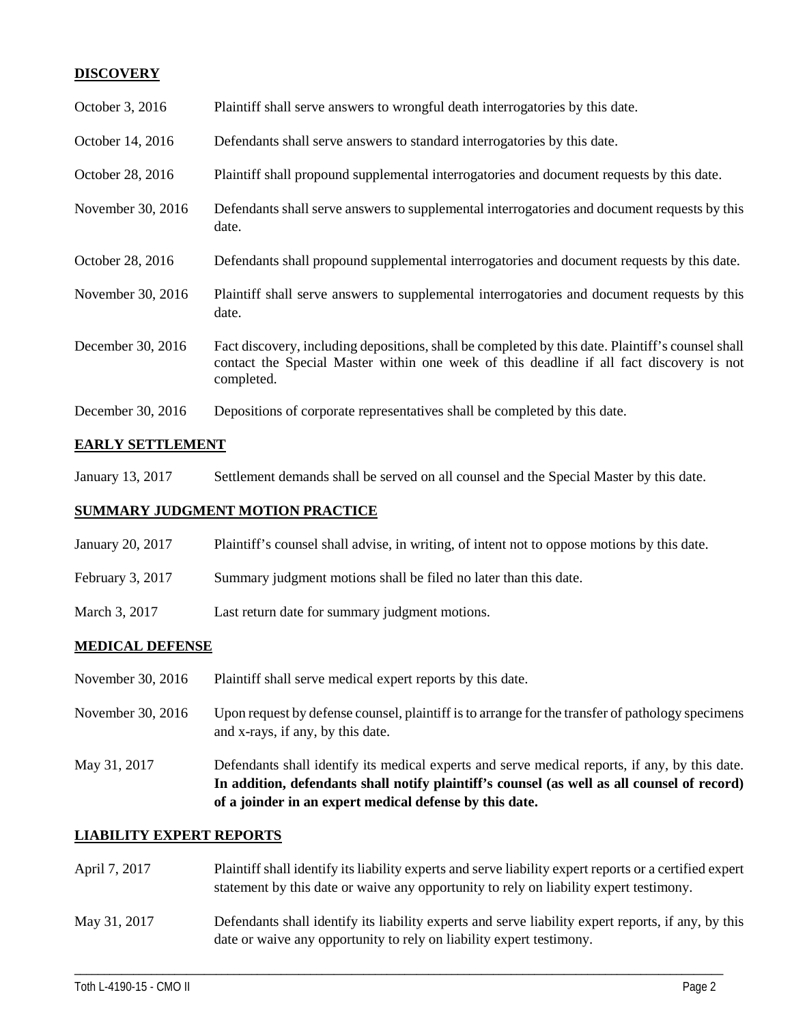## **DISCOVERY**

| October 3, 2016   | Plaintiff shall serve answers to wrongful death interrogatories by this date.                                                                                                                               |
|-------------------|-------------------------------------------------------------------------------------------------------------------------------------------------------------------------------------------------------------|
| October 14, 2016  | Defendants shall serve answers to standard interrogatories by this date.                                                                                                                                    |
| October 28, 2016  | Plaintiff shall propound supplemental interrogatories and document requests by this date.                                                                                                                   |
| November 30, 2016 | Defendants shall serve answers to supplemental interrogatories and document requests by this<br>date.                                                                                                       |
| October 28, 2016  | Defendants shall propound supplemental interrogatories and document requests by this date.                                                                                                                  |
| November 30, 2016 | Plaintiff shall serve answers to supplemental interrogatories and document requests by this<br>date.                                                                                                        |
| December 30, 2016 | Fact discovery, including depositions, shall be completed by this date. Plaintiff's counsel shall<br>contact the Special Master within one week of this deadline if all fact discovery is not<br>completed. |
| December 30, 2016 | Depositions of corporate representatives shall be completed by this date.                                                                                                                                   |

### **EARLY SETTLEMENT**

January 13, 2017 Settlement demands shall be served on all counsel and the Special Master by this date.

#### **SUMMARY JUDGMENT MOTION PRACTICE**

- January 20, 2017 Plaintiff's counsel shall advise, in writing, of intent not to oppose motions by this date.
- February 3, 2017 Summary judgment motions shall be filed no later than this date.
- March 3, 2017 Last return date for summary judgment motions.

#### **MEDICAL DEFENSE**

- November 30, 2016 Plaintiff shall serve medical expert reports by this date.
- November 30, 2016 Upon request by defense counsel, plaintiff is to arrange for the transfer of pathology specimens and x-rays, if any, by this date.
- May 31, 2017 Defendants shall identify its medical experts and serve medical reports, if any, by this date. **In addition, defendants shall notify plaintiff's counsel (as well as all counsel of record) of a joinder in an expert medical defense by this date.**

#### **LIABILITY EXPERT REPORTS**

- April 7, 2017 Plaintiff shall identify its liability experts and serve liability expert reports or a certified expert statement by this date or waive any opportunity to rely on liability expert testimony.
- May 31, 2017 Defendants shall identify its liability experts and serve liability expert reports, if any, by this date or waive any opportunity to rely on liability expert testimony.

\_\_\_\_\_\_\_\_\_\_\_\_\_\_\_\_\_\_\_\_\_\_\_\_\_\_\_\_\_\_\_\_\_\_\_\_\_\_\_\_\_\_\_\_\_\_\_\_\_\_\_\_\_\_\_\_\_\_\_\_\_\_\_\_\_\_\_\_\_\_\_\_\_\_\_\_\_\_\_\_\_\_\_\_\_\_\_\_\_\_\_\_\_\_\_\_\_\_\_\_\_\_\_\_\_\_\_\_\_\_